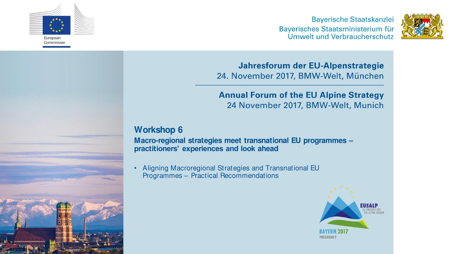

**Bayerische Staatskanzlei** Bayerisches Staatsministerium für Umwelt und Verbraucherschutz



Jahresforum der EU-Alpenstrategie 24. November 2017, BMW-Welt, München

### **Annual Forum of the EU Alpine Strategy** 24 November 2017, BMW-Welt, Munich

## **Workshop 6**

**Macro-regional strategies meet transnational EU programmes – practitioners' experiences and look ahead** 

• Aligning Macroregional Strategies and Transnational EU Programmes – Practical Recommendations

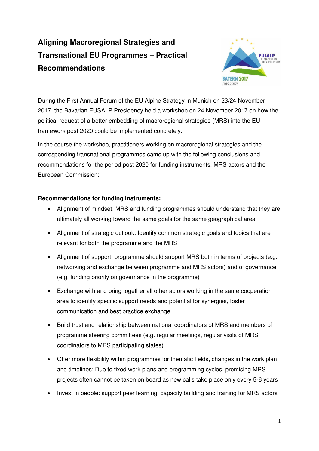# **Aligning Macroregional Strategies and Transnational EU Programmes – Practical Recommendations**



During the First Annual Forum of the EU Alpine Strategy in Munich on 23/24 November 2017, the Bavarian EUSALP Presidency held a workshop on 24 November 2017 on how the political request of a better embedding of macroregional strategies (MRS) into the EU framework post 2020 could be implemented concretely.

In the course the workshop, practitioners working on macroregional strategies and the corresponding transnational programmes came up with the following conclusions and recommendations for the period post 2020 for funding instruments, MRS actors and the European Commission:

#### **Recommendations for funding instruments:**

- Alignment of mindset: MRS and funding programmes should understand that they are ultimately all working toward the same goals for the same geographical area
- Alignment of strategic outlook: Identify common strategic goals and topics that are relevant for both the programme and the MRS
- Alignment of support: programme should support MRS both in terms of projects (e.g. networking and exchange between programme and MRS actors) and of governance (e.g. funding priority on governance in the programme)
- Exchange with and bring together all other actors working in the same cooperation area to identify specific support needs and potential for synergies, foster communication and best practice exchange
- Build trust and relationship between national coordinators of MRS and members of programme steering committees (e.g. regular meetings, regular visits of MRS coordinators to MRS participating states)
- Offer more flexibility within programmes for thematic fields, changes in the work plan and timelines: Due to fixed work plans and programming cycles, promising MRS projects often cannot be taken on board as new calls take place only every 5-6 years
- Invest in people: support peer learning, capacity building and training for MRS actors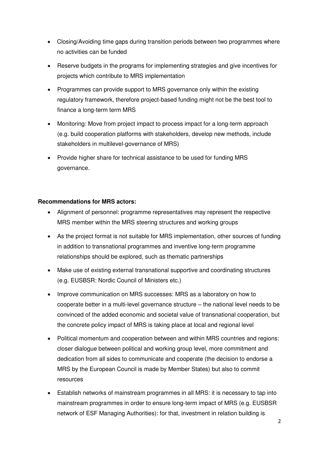- Closing/Avoiding time gaps during transition periods between two programmes where no activities can be funded
- Reserve budgets in the programs for implementing strategies and give incentives for projects which contribute to MRS implementation
- Programmes can provide support to MRS governance only within the existing regulatory framework, therefore project-based funding might not be the best tool to finance a long-term term MRS
- Monitoring: Move from project impact to process impact for a long-term approach (e.g. build cooperation platforms with stakeholders, develop new methods, include stakeholders in multilevel-governance of MRS)
- Provide higher share for technical assistance to be used for funding MRS governance.

#### **Recommendations for MRS actors:**

- Alignment of personnel: programme representatives may represent the respective MRS member within the MRS steering structures and working groups
- As the project format is not suitable for MRS implementation, other sources of funding in addition to transnational programmes and inventive long-term programme relationships should be explored, such as thematic partnerships
- Make use of existing external transnational supportive and coordinating structures (e.g. EUSBSR: Nordic Council of Ministers etc.)
- Improve communication on MRS successes: MRS as a laboratory on how to cooperate better in a multi-level governance structure – the national level needs to be convinced of the added economic and societal value of transnational cooperation, but the concrete policy impact of MRS is taking place at local and regional level
- Political momentum and cooperation between and within MRS countries and regions: closer dialogue between political and working group level, more commitment and dedication from all sides to communicate and cooperate (the decision to endorse a MRS by the European Council is made by Member States) but also to commit resources
- Establish networks of mainstream programmes in all MRS: it is necessary to tap into mainstream programmes in order to ensure long-term impact of MRS (e.g. EUSBSR network of ESF Managing Authorities): for that, investment in relation building is